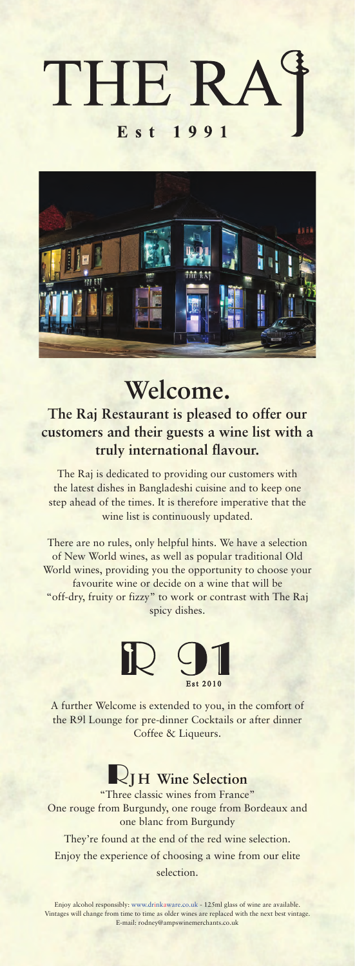



# **Welcome.**

**The Raj Restaurant is pleased to offer our customers and their guests a wine list with a truly international flavour.**

The Raj is dedicated to providing our customers with the latest dishes in Bangladeshi cuisine and to keep one step ahead of the times. It is therefore imperative that the wine list is continuously updated.

There are no rules, only helpful hints. We have a selection of New World wines, as well as popular traditional Old World wines, providing you the opportunity to choose your favourite wine or decide on a wine that will be "off-dry, fruity or fizzy" to work or contrast with The Raj spicy dishes.



A further Welcome is extended to you, in the comfort of the R9l Lounge for pre-dinner Cocktails or after dinner Coffee & Liqueurs.

### **RJ H Wine Selection**

"Three classic wines from France" One rouge from Burgundy, one rouge from Bordeaux and one blanc from Burgundy

They're found at the end of the red wine selection. Enjoy the experience of choosing a wine from our elite

selection.

Enjoy alcohol responsibly: www.drinkaware.co.uk - 125ml glass of wine are available. Vintages will change from time to time as older wines are replaced with the next best vintage. E-mail: rodney@ampswinemerchants.co.uk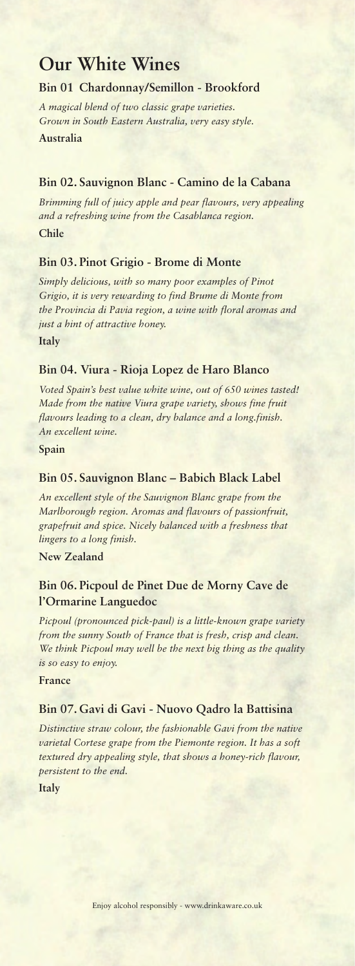## **Our White Wines**

#### **Bin 01 Chardonnay/Semillon - Brookford**

*A magical blend of two classic grape varieties. Grown in South Eastern Australia, very easy style.* **Australia**

#### **Bin 02. Sauvignon Blanc - Camino de la Cabana**

*Brimming full of juicy apple and pear flavours, very appealing and a refreshing wine from the Casablanca region.* **Chile** 

#### **Bin 03. Pinot Grigio - Brome di Monte**

*Simply delicious, with so many poor examples of Pinot Grigio, it is very rewarding to find Brume di Monte from the Provincia di Pavia region, a wine with floral aromas and just a hint of attractive honey.*

**Italy**

#### **Bin 04. Viura - Rioja Lopez de Haro Blanco**

*Voted Spain's best value white wine, out of 650 wines tasted! Made from the native Viura grape variety, shows fine fruit flavours leading to a clean, dry balance and a long.finish. An excellent wine.*

**Spain**

#### **Bin 05. Sauvignon Blanc – Babich Black Label**

*An excellent style of the Sauvignon Blanc grape from the Marlborough region. Aromas and flavours of passionfruit, grapefruit and spice. Nicely balanced with a freshness that lingers to a long finish.*

**New Zealand**

#### **Bin 06. Picpoul de Pinet Due de Morny Cave de l'Ormarine Languedoc**

*Picpoul (pronounced pick-paul) is a little-known grape variety from the sunny South of France that is fresh, crisp and clean. We think Picpoul may well be the next big thing as the quality is so easy to enjoy.*

**France**

#### **Bin 07. Gavi di Gavi - Nuovo Qadro la Battisina**

*Distinctive straw colour, the fashionable Gavi from the native varietal Cortese grape from the Piemonte region. It has a soft textured dry appealing style, that shows a honey-rich flavour, persistent to the end.*

**Italy**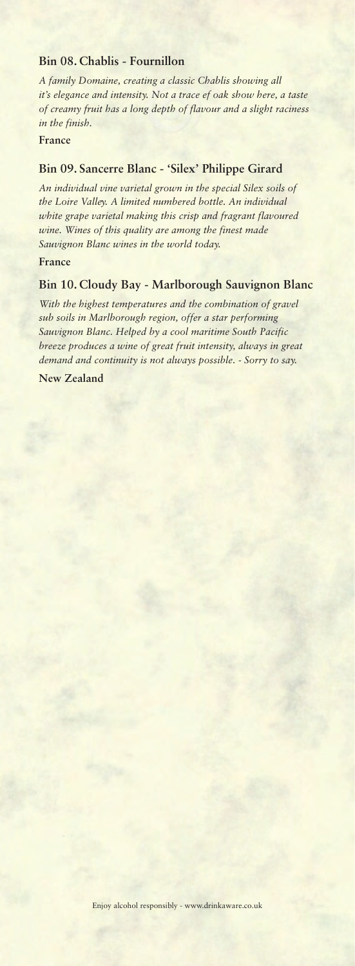#### **Bin 08. Chablis - Fournillon**

*A family Domaine, creating a classic Chablis showing all it's elegance and intensity. Not a trace ef oak show here, a taste of creamy fruit has a long depth of flavour and a slight raciness in the finish.*

#### **France**

#### **Bin 09. Sancerre Blanc - 'Silex' Philippe Girard**

*An individual vine varietal grown in the special Silex soils of the Loire Valley. A limited numbered bottle. An individual white grape varietal making this crisp and fragrant flavoured wine. Wines of this quality are among the finest made Sauvignon Blanc wines in the world today.*

#### **France**

#### **Bin 10. Cloudy Bay - Marlborough Sauvignon Blanc**

*With the highest temperatures and the combination of gravel sub soils in Marlborough region, offer a star performing Sauvignon Blanc. Helped by a cool maritime South Pacific breeze produces a wine of great fruit intensity, always in great demand and continuity is not always possible. - Sorry to say.*

**New Zealand**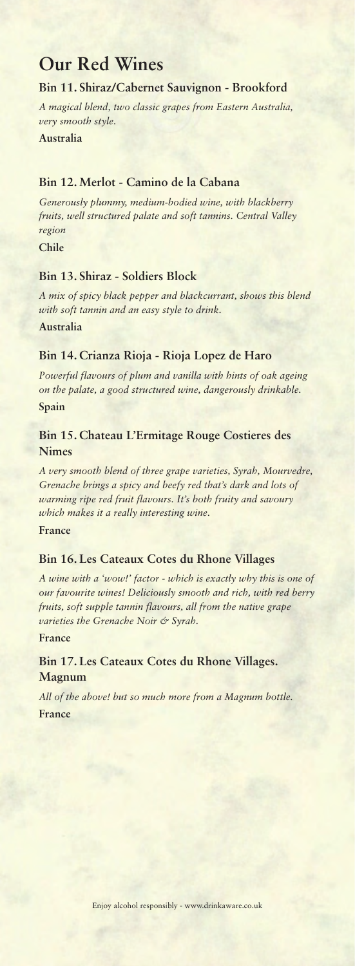# **Our Red Wines**

#### **Bin 11. Shiraz/Cabernet Sauvignon - Brookford**

*A magical blend, two classic grapes from Eastern Australia, very smooth style.*

**Australia**

#### **Bin 12. Merlot - Camino de la Cabana**

*Generously plummy, medium-bodied wine, with blackberry fruits, well structured palate and soft tannins. Central Valley region*

**Chile** 

#### **Bin 13. Shiraz - Soldiers Block**

*A mix of spicy black pepper and blackcurrant, shows this blend with soft tannin and an easy style to drink.* **Australia**

#### **Bin 14. Crianza Rioja - Rioja Lopez de Haro**

*Powerful flavours of plum and vanilla with hints of oak ageing on the palate, a good structured wine, dangerously drinkable.* **Spain**

#### **Bin 15. Chateau L'Ermitage Rouge Costieres des Nimes**

*A very smooth blend of three grape varieties, Syrah, Mourvedre, Grenache brings a spicy and beefy red that's dark and lots of warming ripe red fruit flavours. It's both fruity and savoury which makes it a really interesting wine.*

**France**

#### **Bin 16. Les Cateaux Cotes du Rhone Villages**

*A wine with a 'wow!' factor - which is exactly why this is one of our favourite wines! Deliciously smooth and rich, with red berry fruits, soft supple tannin flavours, all from the native grape varieties the Grenache Noir & Syrah.*

**France**

#### **Bin 17. Les Cateaux Cotes du Rhone Villages. Magnum**

*All of the above! but so much more from a Magnum bottle.* **France**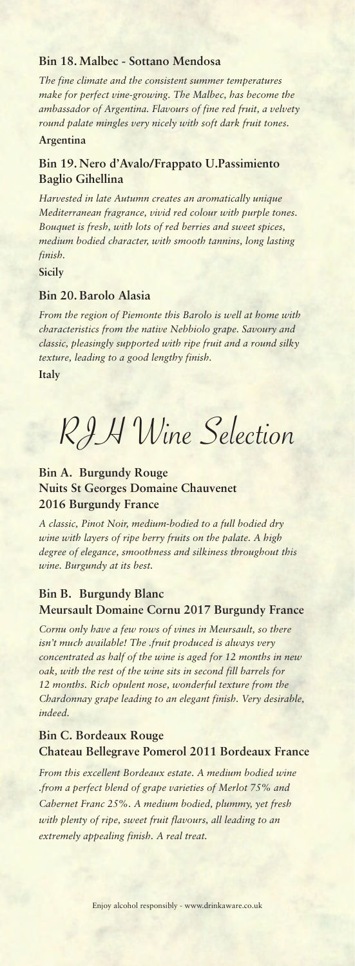#### **Bin 18. Malbec - Sottano Mendosa**

*The fine climate and the consistent summer temperatures make for perfect vine-growing. The Malbec, has become the ambassador of Argentina. Flavours of fine red fruit, a velvety round palate mingles very nicely with soft dark fruit tones.*

#### **Argentina**

#### **Bin 19. Nero d'Avalo/Frappato U.Passimiento Baglio Gihellina**

*Harvested in late Autumn creates an aromatically unique Mediterranean fragrance, vivid red colour with purple tones. Bouquet is fresh, with lots of red berries and sweet spices, medium bodied character, with smooth tannins, long lasting finish.*

#### **Sicily**

#### **Bin 20. Barolo Alasia**

*From the region of Piemonte this Barolo is well at home with characteristics from the native Nebbiolo grape. Savoury and classic, pleasingly supported with ripe fruit and a round silky texture, leading to a good lengthy finish.*

**Italy**

RJH Wine Selection

#### **Bin A. Burgundy Rouge Nuits St Georges Domaine Chauvenet 2016 Burgundy France**

*A classic, Pinot Noir, medium-bodied to a full bodied dry wine with layers of ripe berry fruits on the palate. A high degree of elegance, smoothness and silkiness throughout this wine. Burgundy at its best.*

#### **Bin B. Burgundy Blanc Meursault Domaine Cornu 2017 Burgundy France**

*Cornu only have a few rows of vines in Meursault, so there isn't much available! The .fruit produced is always very concentrated as half of the wine is aged for 12 months in new oak, with the rest of the wine sits in second fill barrels for 12 months. Rich opulent nose, wonderful texture from the Chardonnay grape leading to an elegant finish. Very desirable, indeed.*

#### **Bin C. Bordeaux Rouge Chateau Bellegrave Pomerol 2011 Bordeaux France**

*From this excellent Bordeaux estate. A medium bodied wine .from a perfect blend of grape varieties of Merlot 75% and Cabernet Franc 25%. A medium bodied, plummy, yet fresh with plenty of ripe, sweet fruit flavours, all leading to an extremely appealing finish. A real treat.*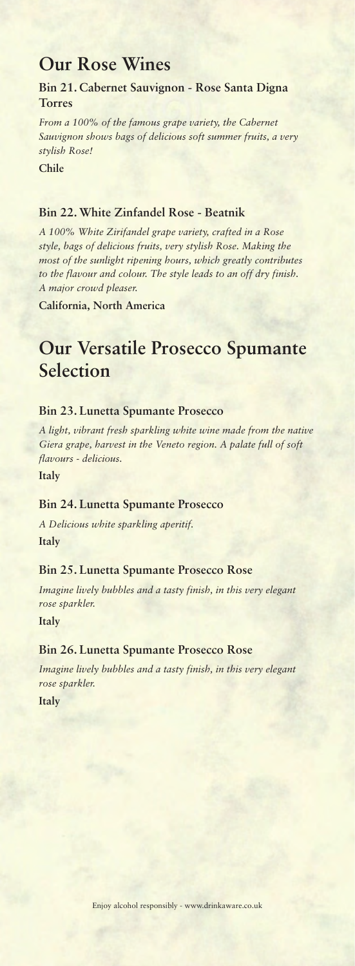## **Our Rose Wines**

#### **Bin 21. Cabernet Sauvignon - Rose Santa Digna Torres**

*From a 100% of the famous grape variety, the Cabernet Sauvignon shows bags of delicious soft summer fruits, a very stylish Rose!*

**Chile**

#### **Bin 22. White Zinfandel Rose - Beatnik**

*A 100% White Zirifandel grape variety, crafted in a Rose style, bags of delicious fruits, very stylish Rose. Making the most of the sunlight ripening hours, which greatly contributes to the flavour and colour. The style leads to an off dry finish. A major crowd pleaser.*

**California, North America**

# **Our Versatile Prosecco Spumante Selection**

#### **Bin 23. Lunetta Spumante Prosecco**

*A light, vibrant fresh sparkling white wine made from the native Giera grape, harvest in the Veneto region. A palate full of soft flavours - delicious.*

**Italy**

#### **Bin 24. Lunetta Spumante Prosecco**

*A Delicious white sparkling aperitif.* **Italy**

#### **Bin 25. Lunetta Spumante Prosecco Rose**

*Imagine lively bubbles and a tasty finish, in this very elegant rose sparkler.*

**Italy**

#### **Bin 26. Lunetta Spumante Prosecco Rose**

*Imagine lively bubbles and a tasty finish, in this very elegant rose sparkler.*

**Italy**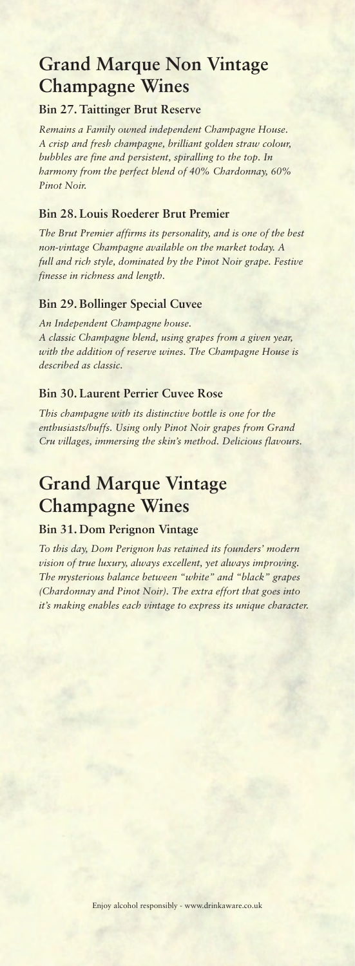# **Grand Marque Non Vintage Champagne Wines**

#### **Bin 27. Taittinger Brut Reserve**

*Remains a Family owned independent Champagne House. A crisp and fresh champagne, brilliant golden straw colour, bubbles are fine and persistent, spiralling to the top. In harmony from the perfect blend of 40% Chardonnay, 60% Pinot Noir.*

#### **Bin 28. Louis Roederer Brut Premier**

*The Brut Premier affirms its personality, and is one of the best non-vintage Champagne available on the market today. A full and rich style, dominated by the Pinot Noir grape. Festive finesse in richness and length.*

#### **Bin 29. Bollinger Special Cuvee**

*An Independent Champagne house. A classic Champagne blend, using grapes from a given year, with the addition of reserve wines. The Champagne House is described as classic.*

#### **Bin 30. Laurent Perrier Cuvee Rose**

*This champagne with its distinctive bottle is one for the enthusiasts/buffs. Using only Pinot Noir grapes from Grand Cru villages, immersing the skin's method. Delicious flavours.*

# **Grand Marque Vintage Champagne Wines**

### **Bin 31. Dom Perignon Vintage**

*To this day, Dom Perignon has retained its founders' modern vision of true luxury, always excellent, yet always improving. The mysterious balance between "white" and "black" grapes (Chardonnay and Pinot Noir). The extra effort that goes into it's making enables each vintage to express its unique character.*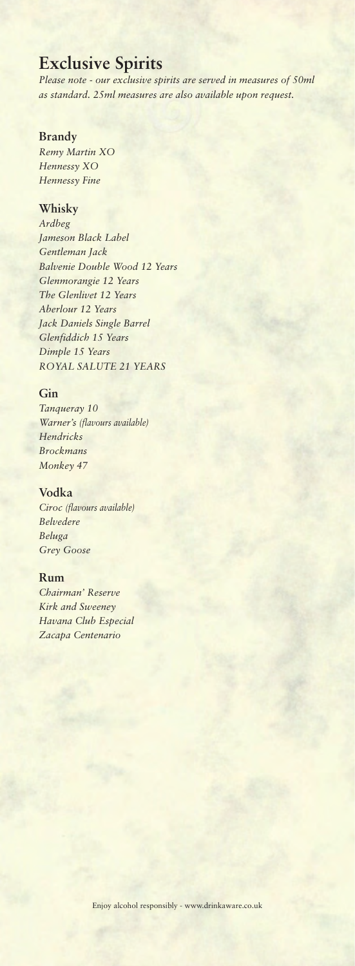## **Exclusive Spirits**

*Please note - our exclusive spirits are served in measures of 50ml as standard. 25ml measures are also available upon request.*

#### **Brandy**

*Remy Martin XO Hennessy XO Hennessy Fine*

#### **Whisky**

*Ardbeg Jameson Black Label Gentleman Jack Balvenie Double Wood 12 Years Glenmorangie 12 Years The Glenlivet 12 Years Aberlour 12 Years Jack Daniels Single Barrel Glenfiddich 15 Years Dimple 15 Years ROYAL SALUTE 21 YEARS*

#### **Gin**

*Tanqueray 10 Warner's (flavours available) Hendricks Brockmans Monkey 47*

#### **Vodka**

*Ciroc (flavours available) Belvedere Beluga Grey Goose*

#### **Rum**

*Chairman' Reserve Kirk and Sweeney Havana Club Especial Zacapa Centenario*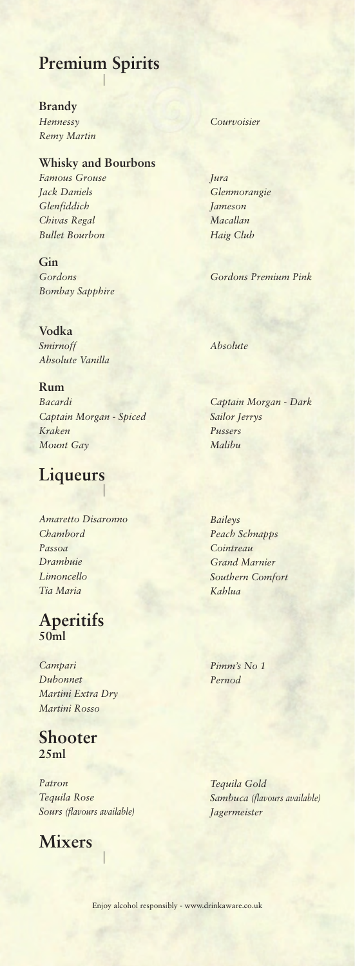# **Premium Spirits**

#### **Brandy** *Hennessy Courvoisier Remy Martin*

#### **Whisky and Bourbons** *Famous Grouse Jura Jack Daniels Glenmorangie Glenfiddich Jameson*

*Chivas Regal Macallan Bullet Bourbon Haig Club*

**Gin** *Bombay Sapphire*

**Vodka** *Smirnoff Absolute Absolute Vanilla*

**Rum** *Bacardi Captain Morgan - Dark Captain Morgan - Spiced Sailor Jerrys Kraken Pussers Mount Gay Malibu*

# **Liqueurs**

*Amaretto Disaronno Chambord Passoa Drambuie Limoncello Tia Maria*

### **Aperitifs 50ml**

*Campari Dubonnet Martini Extra Dry Martini Rosso*

### **Shooter 25ml**

*Patron Tequila Rose Sours (flavours available) Jagermeister*

 $\overline{\phantom{a}}$ 

## **Mixers**

*Gordons Gordons Premium Pink*

*Baileys Peach Schnapps Cointreau Grand Marnier Southern Comfort Kahlua*

*Pimm's No 1 Pernod*

*Tequila Gold Sambuca (flavours available)*

Enjoy alcohol responsibly - www.drinkaware.co.uk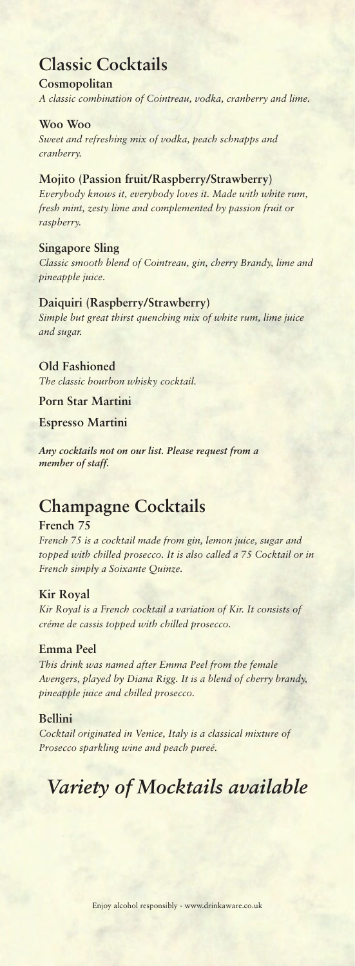## **Classic Cocktails**

#### **Cosmopolitan**

*A classic combination of Cointreau, vodka, cranberry and lime.*

#### **Woo Woo**

*Sweet and refreshing mix of vodka, peach schnapps and cranberry.*

### **Mojito (Passion fruit/Raspberry/Strawberry)** *Everybody knows it, everybody loves it. Made with white rum,*

*fresh mint, zesty lime and complemented by passion fruit or raspberry.*

#### **Singapore Sling**

*Classic smooth blend of Cointreau, gin, cherry Brandy, lime and pineapple juice.*

#### **Daiquiri (Raspberry/Strawberry)**

*Simple but great thirst quenching mix of white rum, lime juice and sugar.*

#### **Old Fashioned**

*The classic bourbon whisky cocktail.*

#### **Porn Star Martini**

**Espresso Martini**

*Any cocktails not on our list. Please request from a member of staff.*

## **Champagne Cocktails**

#### **French 75**

*French 75 is a cocktail made from gin, lemon juice, sugar and topped with chilled prosecco. It is also called a 75 Cocktail or in French simply a Soixante Quinze.*

#### **Kir Royal**

*Kir Royal is a French cocktail a variation of Kir. It consists of créme de cassis topped with chilled prosecco.*

#### **Emma Peel**

*This drink was named after Emma Peel from the female Avengers, played by Diana Rigg. It is a blend of cherry brandy, pineapple juice and chilled prosecco.*

#### **Bellini**

*Cocktail originated in Venice, Italy is a classical mixture of Prosecco sparkling wine and peach pureé.*

# *Variety of Mocktails available*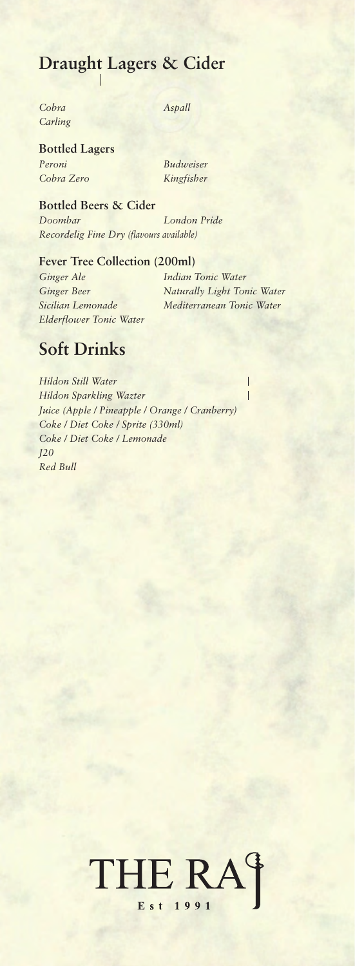# **Draught Lagers & Cider**

*Cobra Aspall Carling*

#### **Bottled Lagers**

*Peroni Budweiser Cobra Zero Kingfisher*

**Bottled Beers & Cider** *Doombar London Pride Recordelig Fine Dry (flavours available)*

#### **Fever Tree Collection (200ml)**

*Ginger Ale Indian Tonic Water Elderflower Tonic Water*

*Ginger Beer Naturally Light Tonic Water Sicilian Lemonade Mediterranean Tonic Water*

Ī

## **Soft Drinks**

*Hildon Still Water Hildon Sparkling Wazter Juice (Apple / Pineapple / Orange / Cranberry) Coke / Diet Coke / Sprite (330ml) Coke / Diet Coke / Lemonade J20 Red Bull*